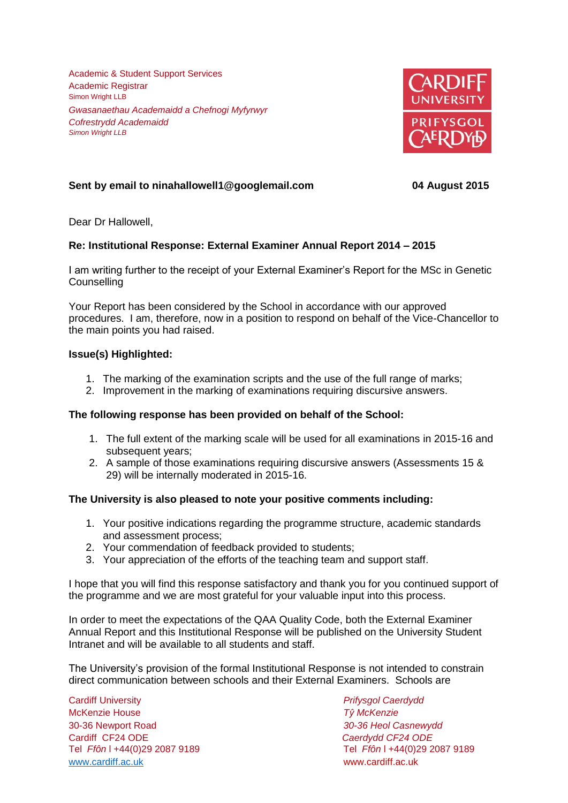Academic & Student Support Services Academic Registrar Simon Wright LLB *Gwasanaethau Academaidd a Chefnogi Myfyrwyr Cofrestrydd Academaidd Simon Wright LLB*



# **Sent by email to ninahallowell1@googlemail.com 04 August 2015**

Dear Dr Hallowell,

## **Re: Institutional Response: External Examiner Annual Report 2014 – 2015**

I am writing further to the receipt of your External Examiner's Report for the MSc in Genetic **Counselling** 

Your Report has been considered by the School in accordance with our approved procedures. I am, therefore, now in a position to respond on behalf of the Vice-Chancellor to the main points you had raised.

### **Issue(s) Highlighted:**

- 1. The marking of the examination scripts and the use of the full range of marks;
- 2. Improvement in the marking of examinations requiring discursive answers.

### **The following response has been provided on behalf of the School:**

- 1. The full extent of the marking scale will be used for all examinations in 2015-16 and subsequent years;
- 2. A sample of those examinations requiring discursive answers (Assessments 15 & 29) will be internally moderated in 2015-16.

### **The University is also pleased to note your positive comments including:**

- 1. Your positive indications regarding the programme structure, academic standards and assessment process;
- 2. Your commendation of feedback provided to students;
- 3. Your appreciation of the efforts of the teaching team and support staff.

I hope that you will find this response satisfactory and thank you for you continued support of the programme and we are most grateful for your valuable input into this process.

In order to meet the expectations of the QAA Quality Code, both the External Examiner Annual Report and this Institutional Response will be published on the University Student Intranet and will be available to all students and staff.

The University's provision of the formal Institutional Response is not intended to constrain direct communication between schools and their External Examiners. Schools are

Cardiff University *Prifysgol Caerdydd* McKenzie House *Tŷ McKenzie* 30-36 Newport Road *30-36 Heol Casnewydd* Cardiff CF24 ODE *Caerdydd CF24 ODE* [www.cardiff.ac.uk](http://www.cardiff.ac.uk/) www.cardiff.ac.uk

Tel *Ffôn* l +44(0)29 2087 9189 Tel *Ffôn* l +44(0)29 2087 9189